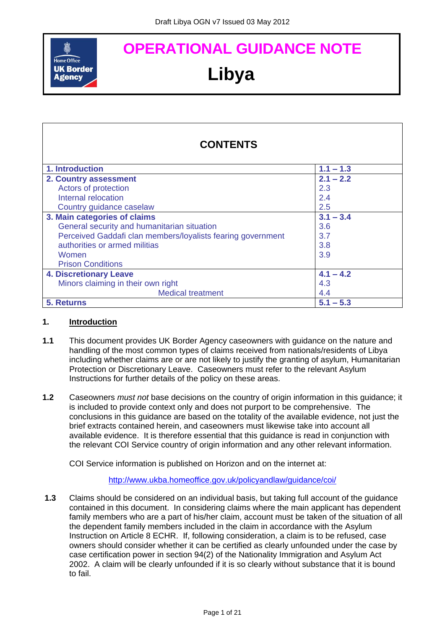

# **OPERATIONAL GUIDANCE NOTE Libya**

| <b>CONTENTS</b>                                             |             |
|-------------------------------------------------------------|-------------|
| 1. Introduction                                             | $1.1 - 1.3$ |
| 2. Country assessment                                       | $2.1 - 2.2$ |
| Actors of protection                                        | 2.3         |
| Internal relocation                                         | 2.4         |
| Country guidance caselaw                                    | 2.5         |
| 3. Main categories of claims                                | $3.1 - 3.4$ |
| General security and humanitarian situation                 | 3.6         |
| Perceived Gaddafi clan members/loyalists fearing government | 3.7         |
| authorities or armed militias                               | 3.8         |
| Women                                                       | 3.9         |
| <b>Prison Conditions</b>                                    |             |
| <b>4. Discretionary Leave</b>                               | $4.1 - 4.2$ |
| Minors claiming in their own right                          | 4.3         |
| <b>Medical treatment</b>                                    | 4.4         |
| 5. Returns                                                  | $5.1 - 5.3$ |

#### <span id="page-0-0"></span>**1. Introduction**

- **1.1** This document provides UK Border Agency caseowners with guidance on the nature and handling of the most common types of claims received from nationals/residents of Libya including whether claims are or are not likely to justify the granting of asylum, Humanitarian Protection or Discretionary Leave. Caseowners must refer to the relevant Asylum Instructions for further details of the policy on these areas.
- **1.2** Caseowners *must not* base decisions on the country of origin information in this guidance; it is included to provide context only and does not purport to be comprehensive. The conclusions in this guidance are based on the totality of the available evidence, not just the brief extracts contained herein, and caseowners must likewise take into account all available evidence. It is therefore essential that this guidance is read in conjunction with the relevant COI Service country of origin information and any other relevant information.

COI Service information is published on Horizon and on the internet at:

<http://www.ukba.homeoffice.gov.uk/policyandlaw/guidance/coi/>

**1.3** Claims should be considered on an individual basis, but taking full account of the guidance contained in this document. In considering claims where the main applicant has dependent family members who are a part of his/her claim, account must be taken of the situation of all the dependent family members included in the claim in accordance with the Asylum Instruction on Article 8 ECHR. If, following consideration, a claim is to be refused, case owners should consider whether it can be certified as clearly unfounded under the case by case certification power in section 94(2) of the Nationality Immigration and Asylum Act 2002. A claim will be clearly unfounded if it is so clearly without substance that it is bound to fail.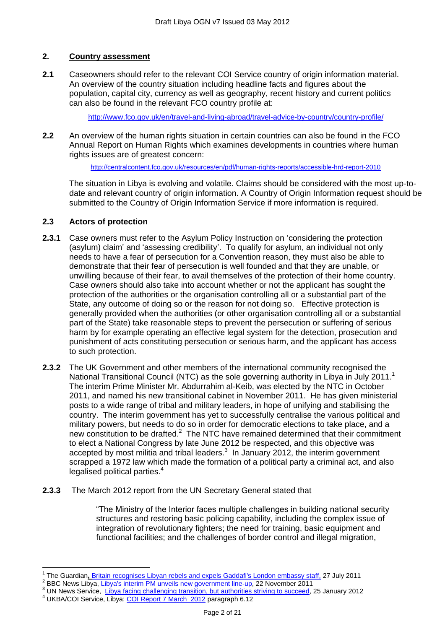#### <span id="page-1-0"></span>**2. Country assessment**

**2.1** Caseowners should refer to the relevant COI Service country of origin information material. An overview of the country situation including headline facts and figures about the population, capital city, currency as well as geography, recent history and current politics can also be found in the relevant FCO country profile at:

<http://www.fco.gov.uk/en/travel-and-living-abroad/travel-advice-by-country/country-profile/>

**2.2** An overview of the human rights situation in certain countries can also be found in the FCO Annual Report on Human Rights which examines developments in countries where human rights issues are of greatest concern:

<http://centralcontent.fco.gov.uk/resources/en/pdf/human-rights-reports/accessible-hrd-report-2010>

The situation in Libya is evolving and volatile. Claims should be considered with the most up-todate and relevant country of origin information. A Country of Origin Information request should be submitted to the Country of Origin Information Service if more information is required.

#### <span id="page-1-1"></span>**2.3 Actors of protection**

- **2.3.1** Case owners must refer to the Asylum Policy Instruction on "considering the protection (asylum) claim" and "assessing credibility". To qualify for asylum, an individual not only needs to have a fear of persecution for a Convention reason, they must also be able to demonstrate that their fear of persecution is well founded and that they are unable, or unwilling because of their fear, to avail themselves of the protection of their home country. Case owners should also take into account whether or not the applicant has sought the protection of the authorities or the organisation controlling all or a substantial part of the State, any outcome of doing so or the reason for not doing so. Effective protection is generally provided when the authorities (or other organisation controlling all or a substantial part of the State) take reasonable steps to prevent the persecution or suffering of serious harm by for example operating an effective legal system for the detection, prosecution and punishment of acts constituting persecution or serious harm, and the applicant has access to such protection.
- **2.3.2** The UK Government and other members of the international community recognised the National Transitional Council (NTC) as the sole governing authority in Libya in July 2011.<sup>1</sup> The interim Prime Minister Mr. Abdurrahim al-Keib, was elected by the NTC in October 2011, and named his new transitional cabinet in November 2011. He has given ministerial posts to a wide range of tribal and military leaders, in hope of unifying and stabilising the country. The interim government has yet to successfully centralise the various political and military powers, but needs to do so in order for democratic elections to take place, and a new constitution to be drafted. $2$  The NTC have remained determined that their commitment to elect a National Congress by late June 2012 be respected, and this objective was accepted by most militia and tribal leaders. $3$  In January 2012, the interim government scrapped a 1972 law which made the formation of a political party a criminal act, and also legalised political parties.<sup>4</sup>
- **2.3.3** The March 2012 report from the UN Secretary General stated that

"The Ministry of the Interior faces multiple challenges in building national security structures and restoring basic policing capability, including the complex issue of integration of revolutionary fighters; the need for training, basic equipment and functional facilities; and the challenges of border control and illegal migration,

 $\overline{\phantom{a}}$ 1 The Guardian**,** [Britain recognises Libyan rebels and expels Gaddafi's London embassy staff,](http://www.guardian.co.uk/world/2011/jul/27/libya-transitional-council-london-embassy-hague) 27 July 2011

<sup>2</sup> BBC News Libya, Libya's interim [PM unveils new government line-up,](http://www.bbc.co.uk/news/world-africa-15847309) 22 November 2011

<sup>&</sup>lt;sup>3</sup> UN News Service, [Libya facing challenging transition, but authorities striving to succeed,](http://www.unhcr.org/cgi-bin/texis/vtx/refworld/rwmain?page=printdoc&docid=4f226b5e2) 25 January 2012

<sup>4</sup> UKBA/COI Service, Libya[: COI Report 7 March 2012](http://www.bia.homeoffice.gov.uk/sitecontent/documents/policyandlaw/coi/libya/report-03-12.pdf?view=Binary) paragraph 6.12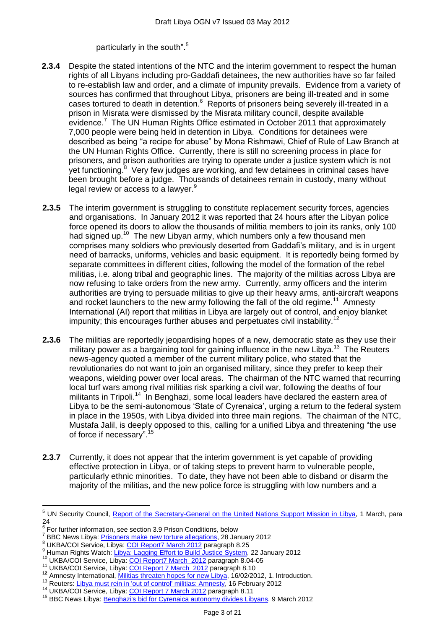#### particularly in the south".<sup>5</sup>

- **2.3.4** Despite the stated intentions of the NTC and the interim government to respect the human rights of all Libyans including pro-Gaddafi detainees, the new authorities have so far failed to re-establish law and order, and a climate of impunity prevails. Evidence from a variety of sources has confirmed that throughout Libya, prisoners are being ill-treated and in some cases tortured to death in detention.<sup>6</sup> Reports of prisoners being severely ill-treated in a prison in Misrata were dismissed by the Misrata military council, despite available evidence.<sup>7</sup> The UN Human Rights Office estimated in October 2011 that approximately 7,000 people were being held in detention in Libya. Conditions for detainees were described as being "a recipe for abuse" by Mona Rishmawi, Chief of Rule of Law Branch at the UN Human Rights Office. Currently, there is still no screening process in place for prisoners, and prison authorities are trying to operate under a justice system which is not yet functioning.<sup>8</sup> Very few judges are working, and few detainees in criminal cases have been brought before a judge. Thousands of detainees remain in custody, many without legal review or access to a lawyer.<sup>9</sup>
- **2.3.5** The interim government is struggling to constitute replacement security forces, agencies and organisations. In January 2012 it was reported that 24 hours after the Libyan police force opened its doors to allow the thousands of militia members to join its ranks, only 100 had signed up.<sup>10</sup> The new Libyan army, which numbers only a few thousand men comprises many soldiers who previously deserted from Gaddafi"s military, and is in urgent need of barracks, uniforms, vehicles and basic equipment. It is reportedly being formed by separate committees in different cities, following the model of the formation of the rebel militias, i.e. along tribal and geographic lines. The majority of the militias across Libya are now refusing to take orders from the new army. Currently, army officers and the interim authorities are trying to persuade militias to give up their heavy arms, anti-aircraft weapons and rocket launchers to the new army following the fall of the old regime.<sup>11</sup> Amnesty International (AI) report that militias in Libya are largely out of control, and enjoy blanket impunity; this encourages further abuses and perpetuates civil instability.<sup>12</sup>
- **2.3.6** The militias are reportedly jeopardising hopes of a new, democratic state as they use their military power as a bargaining tool for gaining influence in the new Libya.<sup>13</sup> The Reuters news-agency quoted a member of the current military police, who stated that the revolutionaries do not want to join an organised military, since they prefer to keep their weapons, wielding power over local areas. The chairman of the NTC warned that recurring local turf wars among rival militias risk sparking a civil war, following the deaths of four militants in Tripoli.<sup>14</sup> In Benghazi, some local leaders have declared the eastern area of Libya to be the semi-autonomous "State of Cyrenaica", urging a return to the federal system in place in the 1950s, with Libya divided into three main regions. The chairman of the NTC, Mustafa Jalil, is deeply opposed to this, calling for a unified Libya and threatening "the use of force if necessary".<sup>15</sup>
- **2.3.7** Currently, it does not appear that the interim government is yet capable of providing effective protection in Libya, or of taking steps to prevent harm to vulnerable people, particularly ethnic minorities. To date, they have not been able to disband or disarm the majority of the militias, and the new police force is struggling with low numbers and a

<sup>&</sup>lt;sup>5</sup> UN Security Council, [Report of the Secretary-General on the United Nations Support Mission in Libya,](http://www.ecoi.net/file_upload/1930_1332413460_n1224473.pdf) 1 March, para

<sup>24</sup> 6 For further information, see section 3.9 Prison Conditions, below

<sup>7</sup> BBC News Libya: [Prisoners make new torture allegations,](http://www.bbc.co.uk/news/world-africa-16771372) 28 January 2012

<sup>8</sup> UKBA/COI Service, Libya[: COI Report7 March 2012](http://www.bia.homeoffice.gov.uk/sitecontent/documents/policyandlaw/coi/libya/report-03-12.pdf?view=Binary) paragraph 8.25

<sup>&</sup>lt;sup>9</sup> Human Rights Watch: *Libya: Lagging Effort to Build Justice System*, 22 January 2012

<sup>10</sup> UKBA/COI Service, Libya: [COI Report7 March 2012](http://www.bia.homeoffice.gov.uk/sitecontent/documents/policyandlaw/coi/libya/report-03-12.pdf?view=Binary) paragraph 8.04-05

<sup>&</sup>lt;sup>11</sup> UKBA/COI Service, Libya: [COI Report 7 March 2012](http://www.bia.homeoffice.gov.uk/sitecontent/documents/policyandlaw/coi/libya/report-03-12.pdf?view=Binary) paragraph 8.10

**<sup>12</sup>** Amnesty International, [Militias threaten hopes for new Libya,](http://www.amnesty.org/en/library/asset/MDE19/002/2012/en/dd7c1d69-e368-44de-8ee8-cc9365bd5eb3/mde190022012en.pdf) 16/02/2012, 1. Introduction.

<sup>&</sup>lt;sup>13</sup> Reuters: [Libya must rein in 'out of control' militias: Amnesty,](http://in.reuters.com/article/2012/02/16/libya-militias-rights-idINDEE81F02G20120216) 16 February 2012

<sup>14</sup> UKBA/COI Service, Libya: [COI Report 7 March 2012](http://www.bia.homeoffice.gov.uk/sitecontent/documents/policyandlaw/coi/libya/report-03-12.pdf?view=Binary) paragraph 8.11

<sup>&</sup>lt;sup>15</sup> BBC News Libya: [Benghazi's bid for Cyrenaica autonomy divides Libyans,](http://www.bbc.co.uk/news/world-africa-17316264) 9 March 2012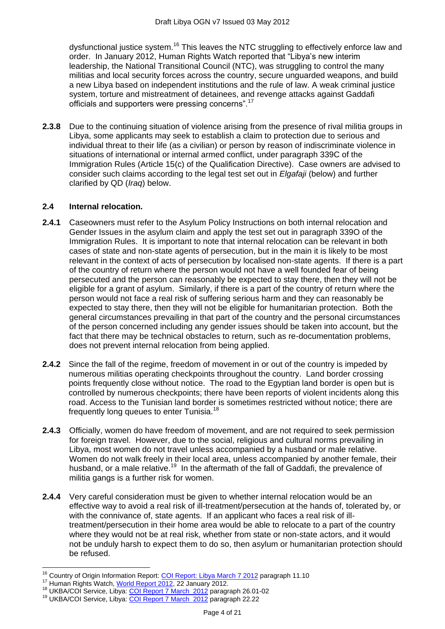dysfunctional justice system.<sup>16</sup> This leaves the NTC struggling to effectively enforce law and order. In January 2012, Human Rights Watch reported that "Libya"s new interim leadership, the National Transitional Council (NTC), was struggling to control the many militias and local security forces across the country, secure unguarded weapons, and build a new Libya based on independent institutions and the rule of law. A weak criminal justice system, torture and mistreatment of detainees, and revenge attacks against Gaddafi officials and supporters were pressing concerns".<sup>17</sup>

**2.3.8** Due to the continuing situation of violence arising from the presence of rival militia groups in Libya, some applicants may seek to establish a claim to protection due to serious and individual threat to their life (as a civilian) or person by reason of indiscriminate violence in situations of international or internal armed conflict, under paragraph 339C of the Immigration Rules (Article 15(c) of the Qualification Directive). Case owners are advised to consider such claims according to the legal test set out in *Elgafaji* (below) and further clarified by QD (*Iraq*) below.

#### <span id="page-3-0"></span>**2.4 Internal relocation.**

- **2.4.1** Caseowners must refer to the Asylum Policy Instructions on both internal relocation and Gender Issues in the asylum claim and apply the test set out in paragraph 339O of the Immigration Rules. It is important to note that internal relocation can be relevant in both cases of state and non-state agents of persecution, but in the main it is likely to be most relevant in the context of acts of persecution by localised non-state agents. If there is a part of the country of return where the person would not have a well founded fear of being persecuted and the person can reasonably be expected to stay there, then they will not be eligible for a grant of asylum. Similarly, if there is a part of the country of return where the person would not face a real risk of suffering serious harm and they can reasonably be expected to stay there, then they will not be eligible for humanitarian protection. Both the general circumstances prevailing in that part of the country and the personal circumstances of the person concerned including any gender issues should be taken into account, but the fact that there may be technical obstacles to return, such as re-documentation problems, does not prevent internal relocation from being applied.
- **2.4.2** Since the fall of the regime, freedom of movement in or out of the country is impeded by numerous militias operating checkpoints throughout the country. Land border crossing points frequently close without notice. The road to the Egyptian land border is open but is controlled by numerous checkpoints; there have been reports of violent incidents along this road. Access to the Tunisian land border is sometimes restricted without notice; there are frequently long queues to enter Tunisia.<sup>18</sup>
- **2.4.3** Officially, women do have freedom of movement, and are not required to seek permission for foreign travel. However, due to the social, religious and cultural norms prevailing in Libya, most women do not travel unless accompanied by a husband or male relative. Women do not walk freely in their local area, unless accompanied by another female, their husband, or a male relative.<sup>19</sup> In the aftermath of the fall of Gaddafi, the prevalence of militia gangs is a further risk for women.
- **2.4.4** Very careful consideration must be given to whether internal relocation would be an effective way to avoid a real risk of ill-treatment/persecution at the hands of, tolerated by, or with the connivance of, state agents. If an applicant who faces a real risk of illtreatment/persecution in their home area would be able to relocate to a part of the country where they would not be at real risk, whether from state or non-state actors, and it would not be unduly harsh to expect them to do so, then asylum or humanitarian protection should be refused.

 $\overline{a}$ <sup>16</sup> Country of Origin Information Report: **COI Report: Libya March 7 2012** paragraph 11.10

<sup>&</sup>lt;sup>17</sup> Human Rights Watch, [World Report 2012,](http://www.hrw.org/world-report-2012/world-report-2012-libya) 22 January 2012.

<sup>&</sup>lt;sup>18</sup> UKBA/COI Service, Libya: [COI Report 7 March 2012](http://www.bia.homeoffice.gov.uk/sitecontent/documents/policyandlaw/coi/libya/report-03-12.pdf?view=Binary) paragraph 26.01-02

<sup>19</sup> UKBA/COI Service, Libya: [COI Report 7](http://www.bia.homeoffice.gov.uk/sitecontent/documents/policyandlaw/coi/libya/report-03-12.pdf?view=Binary) March 2012 paragraph 22.22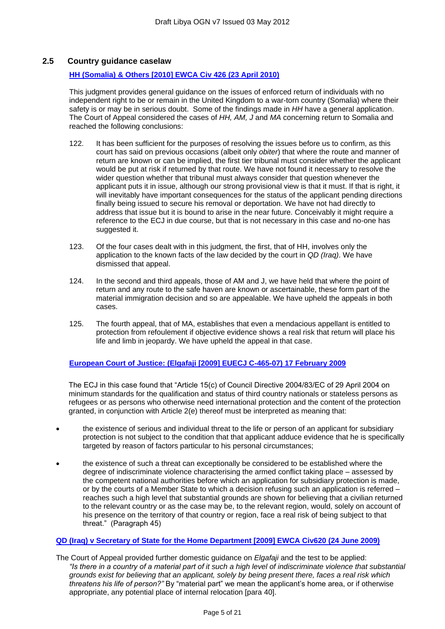#### <span id="page-4-0"></span>**2.5 Country guidance caselaw**

#### **[HH \(Somalia\) & Others \[2010\] EWCA Civ 426 \(23 April 2010\)](http://www.bailii.org/ew/cases/EWCA/Civ/2010/426.html)**

This judgment provides general guidance on the issues of enforced return of individuals with no independent right to be or remain in the United Kingdom to a war-torn country (Somalia) where their safety is or may be in serious doubt. Some of the findings made in *HH* have a general application. The Court of Appeal considered the cases of *HH, AM, J* and *MA* concerning return to Somalia and reached the following conclusions:

- 122. It has been sufficient for the purposes of resolving the issues before us to confirm, as this court has said on previous occasions (albeit only *obiter*) that where the route and manner of return are known or can be implied, the first tier tribunal must consider whether the applicant would be put at risk if returned by that route. We have not found it necessary to resolve the wider question whether that tribunal must always consider that question whenever the applicant puts it in issue, although our strong provisional view is that it must. If that is right, it will inevitably have important consequences for the status of the applicant pending directions finally being issued to secure his removal or deportation. We have not had directly to address that issue but it is bound to arise in the near future. Conceivably it might require a reference to the ECJ in due course, but that is not necessary in this case and no-one has suggested it.
- 123. Of the four cases dealt with in this judgment, the first, that of HH, involves only the application to the known facts of the law decided by the court in *QD (Iraq)*. We have dismissed that appeal.
- 124. In the second and third appeals, those of AM and J, we have held that where the point of return and any route to the safe haven are known or ascertainable, these form part of the material immigration decision and so are appealable. We have upheld the appeals in both cases.
- 125. The fourth appeal, that of MA, establishes that even a mendacious appellant is entitled to protection from refoulement if objective evidence shows a real risk that return will place his life and limb in jeopardy. We have upheld the appeal in that case.

#### **[European Court of Justice: \(Elgafaji \[2009\] EUECJ C-465-07\) 17 February 2009](http://www.bailii.org/eu/cases/EUECJ/2009/C46507.html)**

The ECJ in this case found that "Article 15(c) of Council Directive 2004/83/EC of 29 April 2004 on minimum standards for the qualification and status of third country nationals or stateless persons as refugees or as persons who otherwise need international protection and the content of the protection granted, in conjunction with Article 2(e) thereof must be interpreted as meaning that:

- the existence of serious and individual threat to the life or person of an applicant for subsidiary protection is not subject to the condition that that applicant adduce evidence that he is specifically targeted by reason of factors particular to his personal circumstances;
- the existence of such a threat can exceptionally be considered to be established where the degree of indiscriminate violence characterising the armed conflict taking place – assessed by the competent national authorities before which an application for subsidiary protection is made, or by the courts of a Member State to which a decision refusing such an application is referred – reaches such a high level that substantial grounds are shown for believing that a civilian returned to the relevant country or as the case may be, to the relevant region, would, solely on account of his presence on the territory of that country or region, face a real risk of being subject to that threat." (Paragraph 45)

#### **[QD \(Iraq\) v Secretary of State for the Home Department \[2009\] EWCA Civ620 \(24 June 2009\)](http://www.bailii.org/ew/cases/EWCA/Civ/2009/620.html)**

The Court of Appeal provided further domestic guidance on *Elgafaji* and the test to be applied: *"Is there in a country of a material part of it such a high level of indiscriminate violence that substantial grounds exist for believing that an applicant, solely by being present there, faces a real risk which threatens his life of person?"* By "material part" we mean the applicant"s home area, or if otherwise appropriate, any potential place of internal relocation [para 40].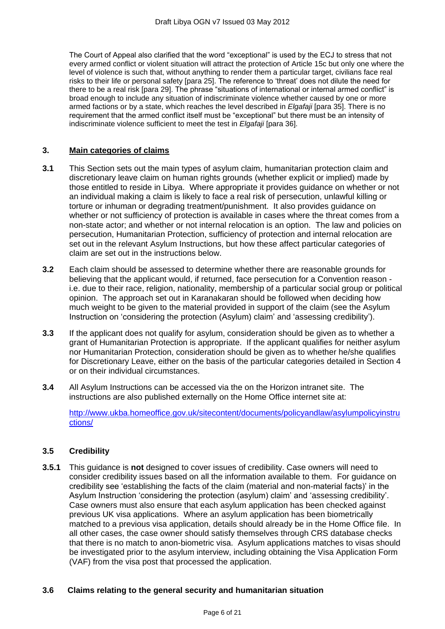The Court of Appeal also clarified that the word "exceptional" is used by the ECJ to stress that not every armed conflict or violent situation will attract the protection of Article 15c but only one where the level of violence is such that, without anything to render them a particular target, civilians face real risks to their life or personal safety [para 25]. The reference to "threat" does not dilute the need for there to be a real risk [para 29]. The phrase "situations of international or internal armed conflict" is broad enough to include any situation of indiscriminate violence whether caused by one or more armed factions or by a state, which reaches the level described in *Elgafaji* [para 35]. There is no requirement that the armed conflict itself must be "exceptional" but there must be an intensity of indiscriminate violence sufficient to meet the test in *Elgafaji* [para 36].

#### **3. Main categories of claims**

- **3.1** This Section sets out the main types of asylum claim, humanitarian protection claim and discretionary leave claim on human rights grounds (whether explicit or implied) made by those entitled to reside in Libya. Where appropriate it provides guidance on whether or not an individual making a claim is likely to face a real risk of persecution, unlawful killing or torture or inhuman or degrading treatment/punishment. It also provides guidance on whether or not sufficiency of protection is available in cases where the threat comes from a non-state actor; and whether or not internal relocation is an option. The law and policies on persecution, Humanitarian Protection, sufficiency of protection and internal relocation are set out in the relevant Asylum Instructions, but how these affect particular categories of claim are set out in the instructions below.
- **3.2** Each claim should be assessed to determine whether there are reasonable grounds for believing that the applicant would, if returned, face persecution for a Convention reason i.e. due to their race, religion, nationality, membership of a particular social group or political opinion. The approach set out in Karanakaran should be followed when deciding how much weight to be given to the material provided in support of the claim (see the Asylum Instruction on "considering the protection (Asylum) claim" and "assessing credibility").
- **3.3** If the applicant does not qualify for asylum, consideration should be given as to whether a grant of Humanitarian Protection is appropriate. If the applicant qualifies for neither asylum nor Humanitarian Protection, consideration should be given as to whether he/she qualifies for Discretionary Leave, either on the basis of the particular categories detailed in Section 4 or on their individual circumstances.
- **3.4** All Asylum Instructions can be accessed via the on the Horizon intranet site. The instructions are also published externally on the Home Office internet site at:

[http://www.ukba.homeoffice.gov.uk/sitecontent/documents/policyandlaw/asylumpolicyinstru](http://www.ukba.homeoffice.gov.uk/sitecontent/documents/policyandlaw/asylumpolicyinstructions/) [ctions/](http://www.ukba.homeoffice.gov.uk/sitecontent/documents/policyandlaw/asylumpolicyinstructions/)

#### **3.5 Credibility**

**3.5.1** This guidance is **not** designed to cover issues of credibility. Case owners will need to consider credibility issues based on all the information available to them. For guidance on credibility see "establishing the facts of the claim (material and non-material facts)" in the Asylum Instruction "considering the protection (asylum) claim" and "assessing credibility". Case owners must also ensure that each asylum application has been checked against previous UK visa applications. Where an asylum application has been biometrically matched to a previous visa application, details should already be in the Home Office file. In all other cases, the case owner should satisfy themselves through CRS database checks that there is no match to anon-biometric visa. Asylum applications matches to visas should be investigated prior to the asylum interview, including obtaining the Visa Application Form (VAF) from the visa post that processed the application.

#### **3.6 Claims relating to the general security and humanitarian situation**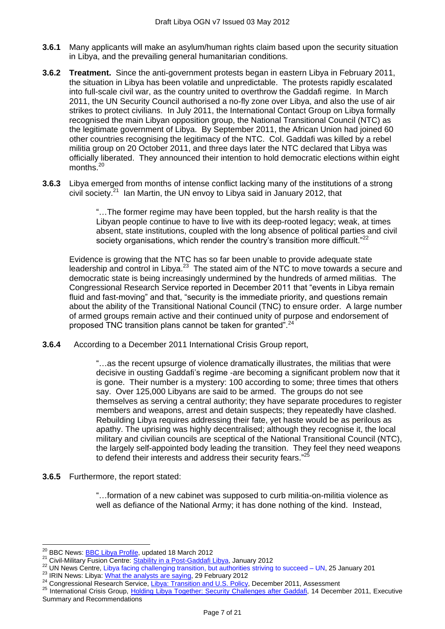- **3.6.1** Many applicants will make an asylum/human rights claim based upon the security situation in Libya, and the prevailing general humanitarian conditions.
- **3.6.2 Treatment.** Since the anti-government protests began in eastern Libya in February 2011, the situation in Libya has been volatile and unpredictable. The protests rapidly escalated into full-scale civil war, as the country united to overthrow the Gaddafi regime. In March 2011, the UN Security Council authorised a no-fly zone over Libya, and also the use of air strikes to protect civilians. In July 2011, the International Contact Group on Libya formally recognised the main Libyan opposition group, the National Transitional Council (NTC) as the legitimate government of Libya. By September 2011, the African Union had joined 60 other countries recognising the legitimacy of the NTC. Col. Gaddafi was killed by a rebel militia group on 20 October 2011, and three days later the NTC declared that Libya was officially liberated. They announced their intention to hold democratic elections within eight months.<sup>20</sup>
- **3.6.3** Libya emerged from months of intense conflict lacking many of the institutions of a strong civil society.<sup>21</sup> Ian Martin, the UN envoy to Libya said in January 2012, that

"…The former regime may have been toppled, but the harsh reality is that the Libyan people continue to have to live with its deep-rooted legacy; weak, at times absent, state institutions, coupled with the long absence of political parties and civil society organisations, which render the country's transition more difficult."<sup>22</sup>

Evidence is growing that the NTC has so far been unable to provide adequate state leadership and control in Libya.<sup>23</sup> The stated aim of the NTC to move towards a secure and democratic state is being increasingly undermined by the hundreds of armed militias. The Congressional Research Service reported in December 2011 that "events in Libya remain fluid and fast-moving" and that, "security is the immediate priority, and questions remain about the ability of the Transitional National Council (TNC) to ensure order. A large number of armed groups remain active and their continued unity of purpose and endorsement of proposed TNC transition plans cannot be taken for granted".<sup>24</sup>

**3.6.4** According to a December 2011 International Crisis Group report,

"…as the recent upsurge of violence dramatically illustrates, the militias that were decisive in ousting Gaddafi"s regime -are becoming a significant problem now that it is gone. Their number is a mystery: 100 according to some; three times that others say. Over 125,000 Libyans are said to be armed. The groups do not see themselves as serving a central authority; they have separate procedures to register members and weapons, arrest and detain suspects; they repeatedly have clashed. Rebuilding Libya requires addressing their fate, yet haste would be as perilous as apathy. The uprising was highly decentralised; although they recognise it, the local military and civilian councils are sceptical of the National Transitional Council (NTC), the largely self-appointed body leading the transition. They feel they need weapons to defend their interests and address their security fears."<sup>25</sup>

**3.6.5** Furthermore, the report stated:

 $\overline{a}$ 

"…formation of a new cabinet was supposed to curb militia-on-militia violence as well as defiance of the National Army; it has done nothing of the kind. Instead,

<sup>&</sup>lt;sup>20</sup> BBC News: **BBC Libya Profile**, updated 18 March 2012

<sup>&</sup>lt;sup>21</sup> Civil-Military Fusion Centre: [Stability in a Post-Gaddafi Libya,](http://reliefweb.int/sites/reliefweb.int/files/resources/20120125_CFC_Report_Med_Basin_Libya_Lessons_Learned.pdf) January 2012

 $^{22}$  UN News Centre, [Libya facing challenging transition, but authorities striving to succeed –](http://www.un.org/apps/news/story.asp?NewsID=41040&Cr=libya&Cr1=) UN, 25 January 201

<sup>&</sup>lt;sup>23</sup> IRIN News: Libya: [What the analysts are saying,](http://www.irinnews.org/Report/94981/LIBYA-What-the-analysts-are-saying) 29 February 2012

<sup>&</sup>lt;sup>24</sup> Congressional Research Service, [Libya: Transition and U.S. Policy,](file:///C:/Documents%20and%20Settings/mkaye/Local%20Settings/Temp/My%20Documents/Dropbox/Documents%20and%20Settings/user/My%20Documents/Dropbox/Dropbox/ARC/SHSH/Libya/fpc.state.gov/documents/organization/179576.pdf) December 2011, Assessment

<sup>&</sup>lt;sup>25</sup> International Crisis Group, *Holding Libya Together: Security Challenges after Gaddafi*, 14 December 2011, Executive Summary and Recommendations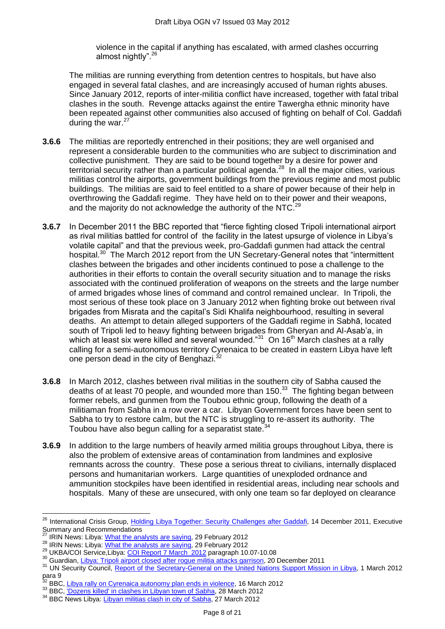violence in the capital if anything has escalated, with armed clashes occurring almost nightly".<sup>26</sup>

The militias are running everything from detention centres to hospitals, but have also engaged in several fatal clashes, and are increasingly accused of human rights abuses. Since January 2012, reports of inter-militia conflict have increased, together with fatal tribal clashes in the south. Revenge attacks against the entire Tawergha ethnic minority have been repeated against other communities also accused of fighting on behalf of Col. Gaddafi during the war. $27$ 

- **3.6.6** The militias are reportedly entrenched in their positions; they are well organised and represent a considerable burden to the communities who are subject to discrimination and collective punishment. They are said to be bound together by a desire for power and territorial security rather than a particular political agenda. $^{28}$  In all the major cities, various militias control the airports, government buildings from the previous regime and most public buildings. The militias are said to feel entitled to a share of power because of their help in overthrowing the Gaddafi regime. They have held on to their power and their weapons, and the majority do not acknowledge the authority of the NTC. $^{29}$
- **3.6.7** In December 2011 the BBC reported that "fierce fighting closed Tripoli international airport as rival militias battled for control of the facility in the latest upsurge of violence in Libya"s volatile capital" and that the previous week, pro-Gaddafi gunmen had attack the central hospital.<sup>30</sup> The March 2012 report from the UN Secretary-General notes that "intermittent" clashes between the brigades and other incidents continued to pose a challenge to the authorities in their efforts to contain the overall security situation and to manage the risks associated with the continued proliferation of weapons on the streets and the large number of armed brigades whose lines of command and control remained unclear. In Tripoli, the most serious of these took place on 3 January 2012 when fighting broke out between rival brigades from Misrata and the capital"s Sidi Khalifa neighbourhood, resulting in several deaths. An attempt to detain alleged supporters of the Gaddafi regime in Sabhā, located south of Tripoli led to heavy fighting between brigades from Gheryan and Al-Asab'a, in which at least six were killed and several wounded."<sup>31</sup> On 16<sup>th</sup> March clashes at a rally calling for a semi-autonomous territory Cyrenaica to be created in eastern Libya have left one person dead in the city of Benghazi.<sup>3</sup>
- **3.6.8** In March 2012, clashes between rival militias in the southern city of Sabha caused the deaths of at least 70 people, and wounded more than 150.<sup>33</sup> The fighting began between former rebels, and gunmen from the Toubou ethnic group, following the death of a militiaman from Sabha in a row over a car. Libyan Government forces have been sent to Sabha to try to restore calm, but the NTC is struggling to re-assert its authority. The Toubou have also begun calling for a separatist state.<sup>34</sup>
- **3.6.9** In addition to the large numbers of heavily armed militia groups throughout Libya, there is also the problem of extensive areas of contamination from landmines and explosive remnants across the country. These pose a serious threat to civilians, internally displaced persons and humanitarian workers. Large quantities of unexploded ordnance and ammunition stockpiles have been identified in residential areas, including near schools and hospitals. Many of these are unsecured, with only one team so far deployed on clearance

<sup>&</sup>lt;sup>26</sup> International Crisis Group, [Holding Libya Together: Security Challenges after Gaddafi,](http://www.crisisgroup.org/~/media/Files/Middle%20East%20North%20Africa/North%20Africa/115%20Holding%20Libya%20Together%20--%20Security%20Challenges%20after%20Qadhafi.pdf) 14 December 2011, Executive Summary and Recommendations

<sup>27</sup> IRIN News: Libya: [What the analysts are saying,](http://www.irinnews.org/Report/94981/LIBYA-What-the-analysts-are-saying) 29 February 2012

<sup>28</sup> IRIN News: Libya: [What the analysts are saying,](http://www.irinnews.org/Report/94981/LIBYA-What-the-analysts-are-saying) 29 February 2012

<sup>&</sup>lt;sup>29</sup> UKBA/COI Service,Libya: [COI Report 7 March 2012](http://www.bia.homeoffice.gov.uk/sitecontent/documents/policyandlaw/coi/libya/report-03-12.pdf?view=Binary) paragraph 10.07-10.08

<sup>30</sup> Guardian, [Libya: Tripoli airport closed after rogue militia attacks garrison,](http://www.guardian.co.uk/world/2011/dec/11/libya-tripoli-airport-militia) 20 December 2011

<sup>&</sup>lt;sup>31</sup> UN Security Council, [Report of the Secretary-General on the United Nations Support Mission in Libya,](http://www.ecoi.net/file_upload/1930_1332413460_n1224473.pdf) 1 March 2012 para 9<br> $32_{\text{DD}}$ 

BBC. [Libya rally on Cyrenaica autonomy plan ends in violence,](http://www.bbc.co.uk/news/world-africa-17411134) 16 March 2012

<sup>33</sup> BBC, Dozens killed' in clashes in Libyan town of Sabha, 28 March 2012

<sup>&</sup>lt;sup>34</sup> BBC News Libya: [Libyan militias clash in city of Sabha,](http://www.bbc.co.uk/news/world-africa-17528382) 27 March 2012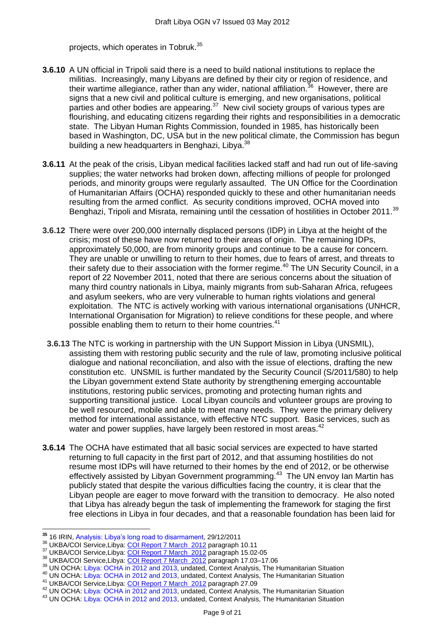projects, which operates in Tobruk.<sup>35</sup>

- **3.6.10** A UN official in Tripoli said there is a need to build national institutions to replace the militias. Increasingly, many Libyans are defined by their city or region of residence, and their wartime allegiance, rather than any wider, national affiliation.<sup>36</sup> However, there are signs that a new civil and political culture is emerging, and new organisations, political parties and other bodies are appearing.<sup>37</sup> New civil society groups of various types are flourishing, and educating citizens regarding their rights and responsibilities in a democratic state. The Libyan Human Rights Commission, founded in 1985, has historically been based in Washington, DC, USA but in the new political climate, the Commission has begun building a new headquarters in Benghazi, Libya.<sup>38</sup>
- **3.6.11** At the peak of the crisis, Libyan medical facilities lacked staff and had run out of life-saving supplies; the water networks had broken down, affecting millions of people for prolonged periods, and minority groups were regularly assaulted. The UN Office for the Coordination of Humanitarian Affairs (OCHA) responded quickly to these and other humanitarian needs resulting from the armed conflict. As security conditions improved, OCHA moved into Benghazi, Tripoli and Misrata, remaining until the cessation of hostilities in October 2011.<sup>39</sup>
- **3.6.12** There were over 200,000 internally displaced persons (IDP) in Libya at the height of the crisis; most of these have now returned to their areas of origin. The remaining IDPs, approximately 50,000, are from minority groups and continue to be a cause for concern. They are unable or unwilling to return to their homes, due to fears of arrest, and threats to their safety due to their association with the former regime.<sup>40</sup> The UN Security Council, in a report of 22 November 2011, noted that there are serious concerns about the situation of many third country nationals in Libya, mainly migrants from sub-Saharan Africa, refugees and asylum seekers, who are very vulnerable to human rights violations and general exploitation. The NTC is actively working with various international organisations (UNHCR, International Organisation for Migration) to relieve conditions for these people, and where possible enabling them to return to their home countries.<sup>41</sup>
- **3.6.13** The NTC is working in partnership with the UN Support Mission in Libya (UNSMIL), assisting them with restoring public security and the rule of law, promoting inclusive political dialogue and national reconciliation, and also with the issue of elections, drafting the new constitution etc. UNSMIL is further mandated by the Security Council (S/2011/580) to help the Libyan government extend State authority by strengthening emerging accountable institutions, restoring public services, promoting and protecting human rights and supporting transitional justice. Local Libyan councils and volunteer groups are proving to be well resourced, mobile and able to meet many needs. They were the primary delivery method for international assistance, with effective NTC support. Basic services, such as water and power supplies, have largely been restored in most areas.<sup>42</sup>
- **3.6.14** The OCHA have estimated that all basic social services are expected to have started returning to full capacity in the first part of 2012, and that assuming hostilities do not resume most IDPs will have returned to their homes by the end of 2012, or be otherwise effectively assisted by Libyan Government programming.<sup>43</sup> The UN envoy lan Martin has publicly stated that despite the various difficulties facing the country, it is clear that the Libyan people are eager to move forward with the transition to democracy. He also noted that Libya has already begun the task of implementing the framework for staging the first free elections in Libya in four decades, and that a reasonable foundation has been laid for

<sup>36</sup> UKBA/COI Service,Libya: COI Report [7 March 2012](http://www.bia.homeoffice.gov.uk/sitecontent/documents/policyandlaw/coi/libya/report-03-12.pdf?view=Binary) paragraph 10.11

 $\overline{a}$ **<sup>35</sup>** 16 IRIN, [Analysis: Libya"s long road to disarmament,](http://www.irinnews.org/Report/94559/Analysis-Libya-s-long-road-to-disarmament) 29/12/2011

<sup>&</sup>lt;sup>37</sup> UKBA/COI Service,Libya: [COI Report 7 March 2012](http://www.bia.homeoffice.gov.uk/sitecontent/documents/policyandlaw/coi/libya/report-03-12.pdf?view=Binary) paragraph 15.02-05

<sup>38</sup> UKBA/COI Service,Libya: [COI Report 7 March 2012](http://www.bia.homeoffice.gov.uk/sitecontent/documents/policyandlaw/coi/libya/report-03-12.pdf?view=Binary) paragraph 17.03–17.06

<sup>39</sup> UN OCHA: [Libya: OCHA in 2012 and](http://www.unocha.org/ocha2012-13/libya) 2013, undated, Context Analysis, The Humanitarian Situation

<sup>40</sup> UN OCHA: [Libya: OCHA in 2012 and 2013,](http://www.unocha.org/ocha2012-13/libya) undated, Context Analysis, The Humanitarian Situation

<sup>41</sup> UKBA/COI Service,Libya: [COI Report 7 March 2012](http://www.bia.homeoffice.gov.uk/sitecontent/documents/policyandlaw/coi/libya/report-03-12.pdf?view=Binary) paragraph 27.09

<sup>42</sup> UN OCHA: [Libya: OCHA in 2012 and 2013,](http://www.unocha.org/ocha2012-13/libya) undated, Context Analysis, The Humanitarian Situation

<sup>&</sup>lt;sup>43</sup> UN OCHA: [Libya: OCHA in 2012 and 2013,](http://www.unocha.org/ocha2012-13/libya) undated, Context Analysis, The Humanitarian Situation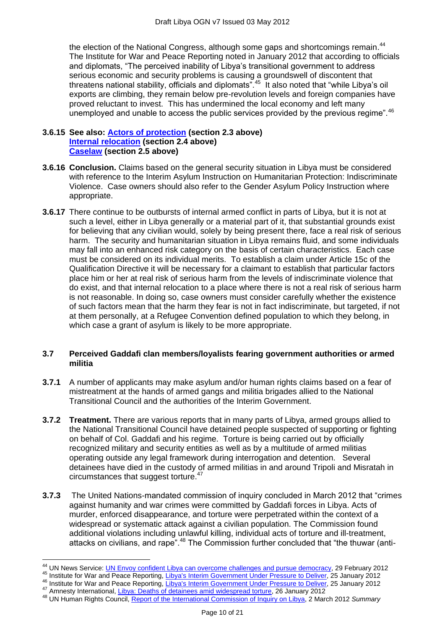the election of the National Congress, although some gaps and shortcomings remain.<sup>44</sup> The Institute for War and Peace Reporting noted in January 2012 that according to officials and diplomats, "The perceived inability of Libya's transitional government to address serious economic and security problems is causing a groundswell of discontent that threatens national stability, officials and diplomats<sup>".45</sup> It also noted that "while Libya's oil exports are climbing, they remain below pre-revolution levels and foreign companies have proved reluctant to invest. This has undermined the local economy and left many unemployed and unable to access the public services provided by the previous regime".<sup>46</sup>

#### **3.6.15 See also: [Actors of protection](#page-1-1) (section 2.3 above) [Internal relocation](#page-3-0) (section 2.4 above) [Caselaw](#page-4-0) (section 2.5 above)**

- **3.6.16 Conclusion.** Claims based on the general security situation in Libya must be considered with reference to the Interim Asylum Instruction on Humanitarian Protection: Indiscriminate Violence. Case owners should also refer to the Gender Asylum Policy Instruction where appropriate.
- **3.6.17** There continue to be outbursts of internal armed conflict in parts of Libya, but it is not at such a level, either in Libya generally or a material part of it, that substantial grounds exist for believing that any civilian would, solely by being present there, face a real risk of serious harm. The security and humanitarian situation in Libya remains fluid, and some individuals may fall into an enhanced risk category on the basis of certain characteristics. Each case must be considered on its individual merits. To establish a claim under Article 15c of the Qualification Directive it will be necessary for a claimant to establish that particular factors place him or her at real risk of serious harm from the levels of indiscriminate violence that do exist, and that internal relocation to a place where there is not a real risk of serious harm is not reasonable. In doing so, case owners must consider carefully whether the existence of such factors mean that the harm they fear is not in fact indiscriminate, but targeted, if not at them personally, at a Refugee Convention defined population to which they belong, in which case a grant of asylum is likely to be more appropriate.

#### **3.7 Perceived Gaddafi clan members/loyalists fearing government authorities or armed militia**

- **3.7.1** A number of applicants may make asylum and/or human rights claims based on a fear of mistreatment at the hands of armed gangs and militia brigades allied to the National Transitional Council and the authorities of the Interim Government.
- **3.7.2 Treatment.** There are various reports that in many parts of Libya, armed groups allied to the National Transitional Council have detained people suspected of supporting or fighting on behalf of Col. Gaddafi and his regime. Torture is being carried out by officially recognized military and security entities as well as by a multitude of armed militias operating outside any legal framework during interrogation and detention. Several detainees have died in the custody of armed militias in and around Tripoli and Misratah in circumstances that suggest torture.<sup>47</sup>
- **3.7.3** The United Nations-mandated commission of inquiry concluded in March 2012 that "crimes against humanity and war crimes were committed by Gaddafi forces in Libya. Acts of murder, enforced disappearance, and torture were perpetrated within the context of a widespread or systematic attack against a civilian population. The Commission found additional violations including unlawful killing, individual acts of torture and ill-treatment, attacks on civilians, and rape".<sup>48</sup> The Commission further concluded that "the thuwar (anti-

- 45 Institute for War and Peace Reporting, [Libya's Interim Government Under Pressure to Deliver,](http://iwpr.net/report-news/libyas-interim-government-under-pressure-deliver) 25 January 2012 46 Institute for War and Peace Reporting, [Libya's Interim Government Under Pressure to Deliver,](http://iwpr.net/report-news/libyas-interim-government-under-pressure-deliver) 25 January 2012
- 47 Amnesty International, [Libya: Deaths of detainees amid widespread torture,](http://www.amnesty.org/en/news/libya-deaths-detainees-amid-widespread-torture-2012-01-26) 26 January 2012

 $\overline{a}$ 

<sup>48</sup> UN Human Rights Council, [Report of the International Commission of Inquiry on Libya,](http://www.ohchr.org/Documents/HRBodies/HRCouncil/RegularSession/Session19/A_HRC_19_68_en.doc) 2 March 2012 *Summary* 

<sup>&</sup>lt;sup>44</sup> UN News Service: <u>UN Envoy confident Libya can overcome challenges and pursue democracy</u>, 29 February 2012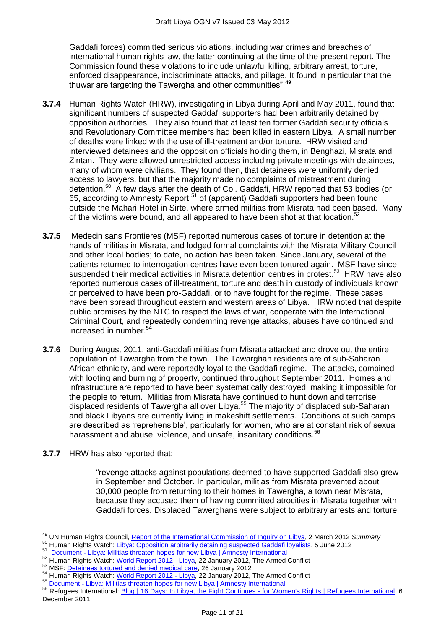Gaddafi forces) committed serious violations, including war crimes and breaches of international human rights law, the latter continuing at the time of the present report. The Commission found these violations to include unlawful killing, arbitrary arrest, torture, enforced disappearance, indiscriminate attacks, and pillage. It found in particular that the thuwar are targeting the Tawergha and other communities".**<sup>49</sup>**

- **3.7.4** Human Rights Watch (HRW), investigating in Libya during April and May 2011, found that significant numbers of suspected Gaddafi supporters had been arbitrarily detained by opposition authorities. They also found that at least ten former Gaddafi security officials and Revolutionary Committee members had been killed in eastern Libya. A small number of deaths were linked with the use of ill-treatment and/or torture. HRW visited and interviewed detainees and the opposition officials holding them, in Benghazi, Misrata and Zintan. They were allowed unrestricted access including private meetings with detainees, many of whom were civilians. They found then, that detainees were uniformly denied access to lawyers, but that the majority made no complaints of mistreatment during detention.<sup>50</sup> A few days after the death of Col. Gaddafi, HRW reported that 53 bodies (or 65, according to Amnesty Report<sup>51</sup> of (apparent) Gaddafi supporters had been found outside the Mahari Hotel in Sirte, where armed militias from Misrata had been based. Many of the victims were bound, and all appeared to have been shot at that location.<sup>52</sup>
- **3.7.5** Medecin sans Frontieres (MSF) reported numerous cases of torture in detention at the hands of militias in Misrata, and lodged formal complaints with the Misrata Military Council and other local bodies; to date, no action has been taken. Since January, several of the patients returned to interrogation centres have even been tortured again. MSF have since suspended their medical activities in Misrata detention centres in protest.<sup>53</sup> HRW have also reported numerous cases of ill-treatment, torture and death in custody of individuals known or perceived to have been pro-Gaddafi, or to have fought for the regime. These cases have been spread throughout eastern and western areas of Libya. HRW noted that despite public promises by the NTC to respect the laws of war, cooperate with the International Criminal Court, and repeatedly condemning revenge attacks, abuses have continued and increased in number.<sup>54</sup>
- **3.7.6** During August 2011, anti-Gaddafi militias from Misrata attacked and drove out the entire population of Tawargha from the town. The Tawarghan residents are of sub-Saharan African ethnicity, and were reportedly loyal to the Gaddafi regime. The attacks, combined with looting and burning of property, continued throughout September 2011. Homes and infrastructure are reported to have been systematically destroyed, making it impossible for the people to return. Militias from Misrata have continued to hunt down and terrorise displaced residents of Tawergha all over Libya.<sup>55</sup> The majority of displaced sub-Saharan and black Libyans are currently living in makeshift settlements. Conditions at such camps are described as "reprehensible", particularly for women, who are at constant risk of sexual harassment and abuse, violence, and unsafe, insanitary conditions.<sup>56</sup>
- **3.7.7** HRW has also reported that:

"revenge attacks against populations deemed to have supported Gaddafi also grew in September and October. In particular, militias from Misrata prevented about 30,000 people from returning to their homes in Tawergha, a town near Misrata, because they accused them of having committed atrocities in Misrata together with Gaddafi forces. Displaced Tawerghans were subject to arbitrary arrests and torture

<sup>50</sup> Human Rights Watch: [Libya: Opposition arbitrarily detaining suspected Gaddafi loyalists,](http://www.hrw.org/en/news/2011/06/05/libya-opposition-arbitrarily-detaining-suspected-gaddafi-loyalists) 5 June 2012

 $\overline{a}$ <sup>49</sup> UN Human Rights Council, [Report of the International Commission of Inquiry on Libya,](http://www.ohchr.org/Documents/HRBodies/HRCouncil/RegularSession/Session19/A_HRC_19_68_en.doc) 2 March 2012 *Summary*

<sup>51</sup> Document - Libya: Militias threaten hopes for new Libya | Amnesty International

 $\frac{52}{2}$  Human Rights Watch: [World Report 2012 -](http://www.hrw.org/world-report-2012/world-report-2012-libya) Libya, 22 January 2012, The Armed Conflict

<sup>53</sup> MSF: [Detainees tortured and denied medical care,](http://www.msf.org/msf/articles/2012/01/libya-detainees-tortured-and-denied-medical-care.cfm) 26 January 2012

<sup>&</sup>lt;sup>54</sup> Human Rights Watch: [World Report 2012 -](http://www.hrw.org/world-report-2012/world-report-2012-libya) Libya, 22 January 2012, The Armed Conflict

<sup>55</sup> Document - [Libya: Militias threaten hopes for new Libya | Amnesty International](http://www.amnesty.org/en/library/asset/MDE19/002/2012/en/6b6a5b08-9874-4679-bc0f-c3d47bfd93a9/mde190022012en.html)

<sup>56</sup> Refugees International: [Blog | 16 Days: In Libya, the Fight Continues -](http://www.refugeesinternational.org/blog/16-days-libya-fight-continues-womens-rights) for Women's Rights | Refugees International, 6 December 2011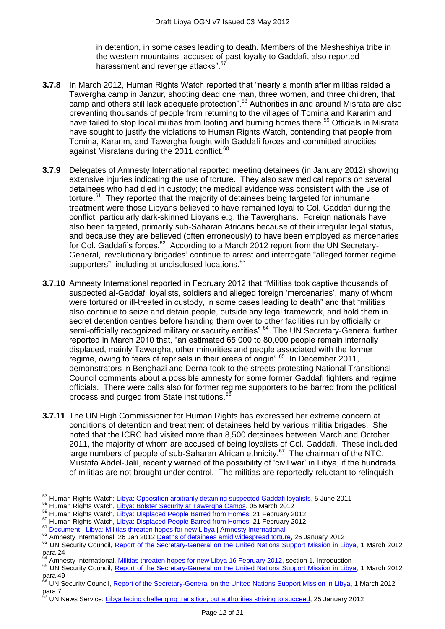in detention, in some cases leading to death. Members of the Mesheshiya tribe in the western mountains, accused of past loyalty to Gaddafi, also reported harassment and revenge attacks".<sup>57</sup>

- **3.7.8** In March 2012, Human Rights Watch reported that "nearly a month after militias raided a Tawergha camp in Janzur, shooting dead one man, three women, and three children, that camp and others still lack adequate protection".<sup>58</sup> Authorities in and around Misrata are also preventing thousands of people from returning to the villages of Tomina and Kararim and have failed to stop local militias from looting and burning homes there.<sup>59</sup> Officials in Misrata have sought to justify the violations to Human Rights Watch, contending that people from Tomina, Kararim, and Tawergha fought with Gaddafi forces and committed atrocities against Misratans during the 2011 conflict.<sup>60</sup>
- **3.7.9** Delegates of Amnesty International reported meeting detainees (in January 2012) showing extensive injuries indicating the use of torture. They also saw medical reports on several detainees who had died in custody; the medical evidence was consistent with the use of torture.<sup>61</sup> They reported that the majority of detainees being targeted for inhumane treatment were those Libyans believed to have remained loyal to Col. Gaddafi during the conflict, particularly dark-skinned Libyans e.g. the Tawerghans. Foreign nationals have also been targeted, primarily sub-Saharan Africans because of their irregular legal status, and because they are believed (often erroneously) to have been employed as mercenaries for Col. Gaddafi's forces. $62$  According to a March 2012 report from the UN Secretary-General, "revolutionary brigades" continue to arrest and interrogate "alleged former regime supporters", including at undisclosed locations.<sup>63</sup>
- **3.7.10** Amnesty International reported in February 2012 that "Militias took captive thousands of suspected al-Gaddafi loyalists, soldiers and alleged foreign "mercenaries", many of whom were tortured or ill-treated in custody, in some cases leading to death" and that "militias also continue to seize and detain people, outside any legal framework, and hold them in secret detention centres before handing them over to other facilities run by officially or semi-officially recognized military or security entities".<sup>64</sup> The UN Secretary-General further reported in March 2010 that, "an estimated 65,000 to 80,000 people remain internally displaced, mainly Tawergha, other minorities and people associated with the former regime, owing to fears of reprisals in their areas of origin".<sup>65</sup> In December 2011, demonstrators in Benghazi and Derna took to the streets protesting National Transitional Council comments about a possible amnesty for some former Gaddafi fighters and regime officials. There were calls also for former regime supporters to be barred from the political process and purged from State institutions.<sup>66</sup>
- **3.7.11** The UN High Commissioner for Human Rights has expressed her extreme concern at conditions of detention and treatment of detainees held by various militia brigades. She noted that the ICRC had visited more than 8,500 detainees between March and October 2011, the majority of whom are accused of being loyalists of Col. Gaddafi. These included large numbers of people of sub-Saharan African ethnicity.<sup>67</sup> The chairman of the NTC, Mustafa Abdel-Jalil, recently warned of the possibility of "civil war" in Libya, if the hundreds of militias are not brought under control. The militias are reportedly reluctant to relinquish

 $\overline{a}$ <sup>57</sup> Human Rights Watch: [Libya: Opposition arbitrarily detaining suspected Gaddafi loyalists,](http://www.hrw.org/en/news/2011/06/05/libya-opposition-arbitrarily-detaining-suspected-gaddafi-loyalists) 5 June 2011

<sup>&</sup>lt;sup>58</sup> Human Rights Watch, [Libya: Bolster Security at Tawergha Camps,](http://www.hrw.org/news/2012/03/05/libya-bolster-security-tawergha-camps) 05 March 2012

<sup>59</sup> Human Rights Watch, [Libya: Displaced People Barred from Homes,](http://www.hrw.org/news/2012/02/21/libya-displaced-people-barred-homes) 21 February 2012

<sup>&</sup>lt;sup>60</sup> Human Rights Watch, [Libya: Displaced People Barred from Homes,](http://www.hrw.org/news/2012/02/21/libya-displaced-people-barred-homes) 21 February 2012

<sup>&</sup>lt;sup>61</sup> Document - [Libya: Militias threaten hopes for new Libya | Amnesty International](http://www.amnesty.org/en/library/asset/MDE19/002/2012/en/6b6a5b08-9874-4679-bc0f-c3d47bfd93a9/mde190022012en.html)

<sup>62</sup> **Amnesty International 26 Jan 2012: Deaths of detainees amid widespread torture**, 26 January 2012

<sup>&</sup>lt;sup>63</sup> UN Security Council, Repor<u>t of the Secretary-General on the United Nations Support Mission in Libya</u>, 1 March 2012 para 24

Amnesty International, [Militias threaten hopes for new Libya 16 February 2012,](http://www.amnesty.org/en/library/asset/MDE19/002/2012/en/6b6a5b08-9874-4679-bc0f-c3d47bfd93a9/mde190022012en.html) section 1. Introduction

<sup>&</sup>lt;sup>65</sup> UN Security Council, [Report of the Secretary-General on the United Nations Support Mission in Libya,](http://www.ecoi.net/file_upload/1930_1332413460_n1224473.pdf) 1 March 2012 para 49

**<sup>66</sup>** UN Security Council, [Report of the Secretary-General on the United Nations Support Mission in Libya,](http://www.ecoi.net/file_upload/1930_1332413460_n1224473.pdf) 1 March 2012 para 7

UN News Service: [Libya facing challenging transition, but authorities striving to succeed,](http://www.unhcr.org/cgi-bin/texis/vtx/refworld/rwmain?page=printdoc&docid=4f226b5e2) 25 January 2012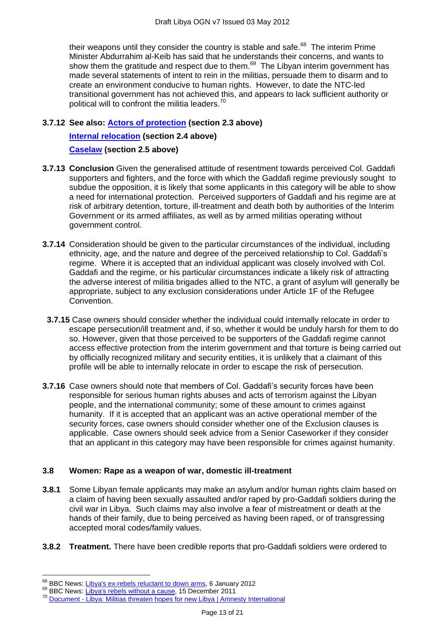their weapons until they consider the country is stable and safe.<sup>68</sup> The interim Prime Minister Abdurrahim al-Keib has said that he understands their concerns, and wants to show them the gratitude and respect due to them. $^{69}$  The Libyan interim government has made several statements of intent to rein in the militias, persuade them to disarm and to create an environment conducive to human rights. However, to date the NTC-led transitional government has not achieved this, and appears to lack sufficient authority or political will to confront the militia leaders.<sup>70</sup>

## **3.7.12 See also: [Actors of protection](#page-1-1) (section 2.3 above) [Internal relocation](#page-3-0) (section 2.4 above) [Caselaw](#page-4-0) (section 2.5 above)**

- **3.7.13 Conclusion** Given the generalised attitude of resentment towards perceived Col. Gaddafi supporters and fighters, and the force with which the Gaddafi regime previously sought to subdue the opposition, it is likely that some applicants in this category will be able to show a need for international protection. Perceived supporters of Gaddafi and his regime are at risk of arbitrary detention, torture, ill-treatment and death both by authorities of the Interim Government or its armed affiliates, as well as by armed militias operating without government control.
- **3.7.14** Consideration should be given to the particular circumstances of the individual, including ethnicity, age, and the nature and degree of the perceived relationship to Col. Gaddafi"s regime. Where it is accepted that an individual applicant was closely involved with Col. Gaddafi and the regime, or his particular circumstances indicate a likely risk of attracting the adverse interest of militia brigades allied to the NTC, a grant of asylum will generally be appropriate, subject to any exclusion considerations under Article 1F of the Refugee Convention.
- **3.7.15** Case owners should consider whether the individual could internally relocate in order to escape persecution/ill treatment and, if so, whether it would be unduly harsh for them to do so. However, given that those perceived to be supporters of the Gaddafi regime cannot access effective protection from the interim government and that torture is being carried out by officially recognized military and security entities, it is unlikely that a claimant of this profile will be able to internally relocate in order to escape the risk of persecution.
- **3.7.16** Case owners should note that members of Col. Gaddafi"s security forces have been responsible for serious human rights abuses and acts of terrorism against the Libyan people, and the international community; some of these amount to crimes against humanity. If it is accepted that an applicant was an active operational member of the security forces, case owners should consider whether one of the Exclusion clauses is applicable. Case owners should seek advice from a Senior Caseworker if they consider that an applicant in this category may have been responsible for crimes against humanity.

#### **3.8 Women: Rape as a weapon of war, domestic ill-treatment**

- **3.8.1** Some Libyan female applicants may make an asylum and/or human rights claim based on a claim of having been sexually assaulted and/or raped by pro-Gaddafi soldiers during the civil war in Libya. Such claims may also involve a fear of mistreatment or death at the hands of their family, due to being perceived as having been raped, or of transgressing accepted moral codes/family values.
- **3.8.2 Treatment.** There have been credible reports that pro-Gaddafi soldiers were ordered to

<sup>&</sup>lt;sup>68</sup> BBC News: [Libya's ex-rebels reluctant to down arms,](http://www.bbc.co.uk/news/world-africa-16443441) 6 January 2012

<sup>&</sup>lt;sup>69</sup> BBC News: [Libya's rebels without a cause,](http://www.bbc.co.uk/news/world-africa-16187211) 15 December 2011

<sup>70</sup> Document - [Libya: Militias threaten hopes for new Libya | Amnesty International](http://www.amnesty.org/en/library/asset/MDE19/002/2012/en/6b6a5b08-9874-4679-bc0f-c3d47bfd93a9/mde190022012en.html)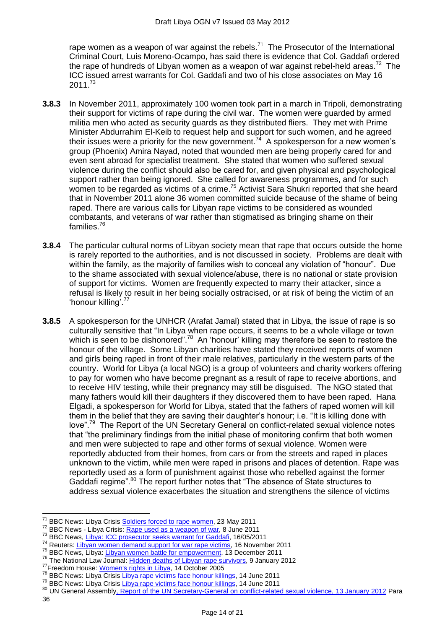rape women as a weapon of war against the rebels.<sup>71</sup> The Prosecutor of the International Criminal Court, Luis Moreno-Ocampo, has said there is evidence that Col. Gaddafi ordered the rape of hundreds of Libyan women as a weapon of war against rebel-held areas.<sup>72</sup> The ICC issued arrest warrants for Col. Gaddafi and two of his close associates on May 16 2011.<sup>73</sup>

- **3.8.3** In November 2011, approximately 100 women took part in a march in Tripoli, demonstrating their support for victims of rape during the civil war. The women were guarded by armed militia men who acted as security guards as they distributed fliers. They met with Prime Minister Abdurrahim El-Keib to request help and support for such women, and he agreed their issues were a priority for the new government.<sup>74</sup> A spokesperson for a new women's group (Phoenix) Amira Nayad, noted that wounded men are being properly cared for and even sent abroad for specialist treatment. She stated that women who suffered sexual violence during the conflict should also be cared for, and given physical and psychological support rather than being ignored. She called for awareness programmes, and for such women to be regarded as victims of a crime.<sup>75</sup> Activist Sara Shukri reported that she heard that in November 2011 alone 36 women committed suicide because of the shame of being raped. There are various calls for Libyan rape victims to be considered as wounded combatants, and veterans of war rather than stigmatised as bringing shame on their families.<sup>76</sup>
- **3.8.4** The particular cultural norms of Libyan society mean that rape that occurs outside the home is rarely reported to the authorities, and is not discussed in society. Problems are dealt with within the family, as the majority of families wish to conceal any violation of "honour". Due to the shame associated with sexual violence/abuse, there is no national or state provision of support for victims. Women are frequently expected to marry their attacker, since a refusal is likely to result in her being socially ostracised, or at risk of being the victim of an "honour killing".<sup>77</sup>
- **3.8.5** A spokesperson for the UNHCR (Arafat Jamal) stated that in Libya, the issue of rape is so culturally sensitive that "In Libya when rape occurs, it seems to be a whole village or town which is seen to be dishonored".<sup>78</sup> An 'honour' killing may therefore be seen to restore the honour of the village. Some Libyan charities have stated they received reports of women and girls being raped in front of their male relatives, particularly in the western parts of the country. World for Libya (a local NGO) is a group of volunteers and charity workers offering to pay for women who have become pregnant as a result of rape to receive abortions, and to receive HIV testing, while their pregnancy may still be disguised. The NGO stated that many fathers would kill their daughters if they discovered them to have been raped. Hana Elgadi, a spokesperson for World for Libya, stated that the fathers of raped women will kill them in the belief that they are saving their daughter"s honour; i.e. "It is killing done with love".<sup>79</sup> The Report of the UN Secretary General on conflict-related sexual violence notes that "the preliminary findings from the initial phase of monitoring confirm that both women and men were subjected to rape and other forms of sexual violence. Women were reportedly abducted from their homes, from cars or from the streets and raped in places unknown to the victim, while men were raped in prisons and places of detention. Rape was reportedly used as a form of punishment against those who rebelled against the former Gaddafi regime".<sup>80</sup> The report further notes that "The absence of State structures to address sexual violence exacerbates the situation and strengthens the silence of victims

<sup>73</sup> BBC News, [Libya: ICC prosecutor seeks warrant for Gaddafi,](http://www.bbc.co.uk/news/world-africa-13408931) 16/05/2011

<sup>75</sup> BBC News, Libya: [Libyan women battle for empowerment,](http://www.bbc.co.uk/news/world-africa-16160671) 13 December 2011

<sup>&</sup>lt;sup>71</sup> BBC News: Libya Crisis <u>Soldiers forced to rape women</u>, 23 May 2011

<sup>&</sup>lt;sup>72</sup> BBC News - Libya Crisis: [Rape used as a weapon of war,](http://www.bbc.co.uk/news/world-africa-13707445) 8 June 2011

<sup>74</sup> Reuters: [Libyan women demand support for war rape victims,](http://www.reuters.com/article/2011/11/26/us-libya-rape-idUSTRE7AP0F020111126) 16 November 2011

<sup>&</sup>lt;sup>76</sup> The National Law Journal: [Hidden deaths of Libyan rape survivors,](http://www.law.com/jsp/nlj/PubArticleNLJ.jsp?id=1202537498000&Hidden_deaths_of_Libyan_rape_survivors&slreturn=1) 9 January 2012

<sup>&</sup>lt;sup>77</sup>Freedom House: [Women's rights in Libya,](http://www.unhcr.org/refworld/country,,FREEHOU,COUNTRYREP,LBY,456d621e2,47387b6dc,0.html) 14 October 2005

<sup>78</sup> BBC News: Libya Crisis [Libya rape victims face honour killings,](http://www.bbc.co.uk/news/world-africa-13760895) 14 June 2011

<sup>&</sup>lt;sup>79</sup> BBC News: Libya Crisis [Libya rape victims face honour killings,](http://www.bbc.co.uk/news/world-africa-13760895) 14 June 2011

<sup>80</sup> UN General Assembl[y, Report of the UN Secretary-General on conflict-related sexual violence, 13 January 2012](http://www.ecoi.net/file_upload/2016_1329735172_n1165018.pdf) Para 36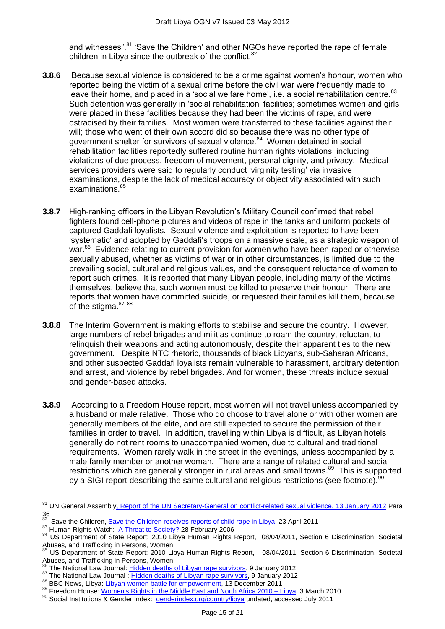and witnesses".<sup>81</sup> 'Save the Children' and other NGOs have reported the rape of female children in Libya since the outbreak of the conflict. $82$ 

- **3.8.6** Because sexual violence is considered to be a crime against women"s honour, women who reported being the victim of a sexual crime before the civil war were frequently made to leave their home, and placed in a 'social welfare home', i.e. a social rehabilitation centre. $83$ Such detention was generally in "social rehabilitation" facilities; sometimes women and girls were placed in these facilities because they had been the victims of rape, and were ostracised by their families. Most women were transferred to these facilities against their will; those who went of their own accord did so because there was no other type of government shelter for survivors of sexual violence.<sup>84</sup> Women detained in social rehabilitation facilities reportedly suffered routine human rights violations, including violations of due process, freedom of movement, personal dignity, and privacy. Medical services providers were said to regularly conduct "virginity testing" via invasive examinations, despite the lack of medical accuracy or objectivity associated with such examinations.<sup>85</sup>
- **3.8.7** High-ranking officers in the Libyan Revolution"s Military Council confirmed that rebel fighters found cell-phone pictures and videos of rape in the tanks and uniform pockets of captured Gaddafi loyalists. Sexual violence and exploitation is reported to have been "systematic" and adopted by Gaddafi"s troops on a massive scale, as a strategic weapon of war.<sup>86</sup> Evidence relating to current provision for women who have been raped or otherwise sexually abused, whether as victims of war or in other circumstances, is limited due to the prevailing social, cultural and religious values, and the consequent reluctance of women to report such crimes. It is reported that many Libyan people, including many of the victims themselves, believe that such women must be killed to preserve their honour. There are reports that women have committed suicide, or requested their families kill them, because of the stigma.<sup>87 88</sup>
- **3.8.8** The Interim Government is making efforts to stabilise and secure the country. However, large numbers of rebel brigades and militias continue to roam the country, reluctant to relinquish their weapons and acting autonomously, despite their apparent ties to the new government. Despite NTC rhetoric, thousands of black Libyans, sub-Saharan Africans, and other suspected Gaddafi loyalists remain vulnerable to harassment, arbitrary detention and arrest, and violence by rebel brigades. And for women, these threats include sexual and gender-based attacks.
- **3.8.9** According to a Freedom House report, most women will not travel unless accompanied by a husband or male relative. Those who do choose to travel alone or with other women are generally members of the elite, and are still expected to secure the permission of their families in order to travel. In addition, travelling within Libya is difficult, as Libyan hotels generally do not rent rooms to unaccompanied women, due to cultural and traditional requirements. Women rarely walk in the street in the evenings, unless accompanied by a male family member or another woman. There are a range of related cultural and social restrictions which are generally stronger in rural areas and small towns.<sup>89</sup> This is supported by a SIGI report describing the same cultural and religious restrictions (see footnote).<sup>90</sup>

<sup>&</sup>lt;sup>81</sup> UN General Assembly<u>, Report of the UN Secretary-General on conflict-related sexual violence, 13 January 2012 Para</u> 36

 $\frac{82}{10}$  Save the Children, [Save the Children receives reports of child rape in Libya,](http://www.savethechildren.org.uk/press/save-the-children-receives-reports-of-child-rape-in-libya) 23 April 2011

<sup>83</sup> Human Rights Watch: [A Threat to Society?](http://www.hrw.org/en/node/11468/section/1) 28 February 2006

<sup>84</sup> US Department of State Report: 2010 Libya Human Rights Report, 08/04/2011, Section 6 Discrimination, Societal Abuses, and Trafficking in Persons, Women

<sup>85</sup> US Department of State Report: 2010 Libya Human Rights Report, 08/04/2011, Section 6 Discrimination, Societal Abuses, and Trafficking in Persons, Women

<sup>86</sup> The National Law Journal: [Hidden deaths of Libyan rape survivors,](http://www.law.com/jsp/nlj/PubArticleNLJ.jsp?id=1202537498000&Hidden_deaths_of_Libyan_rape_survivors&slreturn=1) 9 January 2012

<sup>&</sup>lt;sup>87</sup> The National Law Journal : [Hidden deaths of Libyan rape survivors,](http://www.law.com/jsp/nlj/PubArticleNLJ.jsp?id=1202537498000&Hidden_deaths_of_Libyan_rape_survivors&slreturn=1) 9 January 2012

<sup>88</sup> BBC News, Libya: [Libyan women battle for empowerment,](http://www.bbc.co.uk/news/world-africa-16160671) 13 December 2011

<sup>89</sup> Freedom House: [Women's Rights in the Middle East and North Africa 2010 –](http://www.freedomhouse.org/sites/default/files/inline_images/Libya.pdf) Libya, 3 March 2010

<sup>90</sup> Social Institutions & Gender Index: **[genderindex.org/country/libya](http://genderindex.org/country/libya)** undated, accessed July 2011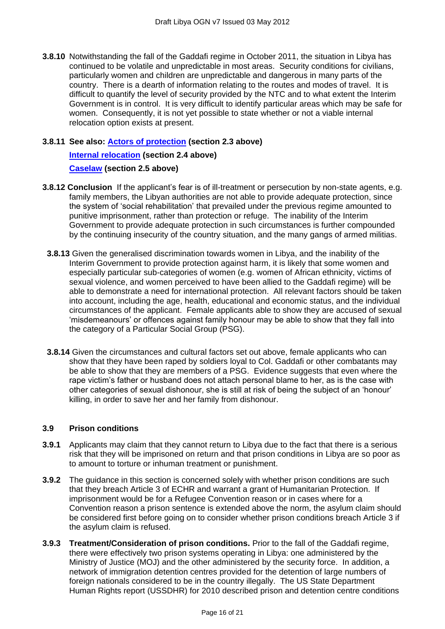**3.8.10** Notwithstanding the fall of the Gaddafi regime in October 2011, the situation in Libya has continued to be volatile and unpredictable in most areas. Security conditions for civilians, particularly women and children are unpredictable and dangerous in many parts of the country. There is a dearth of information relating to the routes and modes of travel. It is difficult to quantify the level of security provided by the NTC and to what extent the Interim Government is in control. It is very difficult to identify particular areas which may be safe for women. Consequently, it is not yet possible to state whether or not a viable internal relocation option exists at present.

#### **3.8.11 See also: [Actors of protection](#page-1-1) (section 2.3 above)**

#### **[Internal relocation](#page-3-0) (section 2.4 above)**

#### **[Caselaw](#page-4-0) (section 2.5 above)**

- **3.8.12 Conclusion** If the applicant's fear is of ill-treatment or persecution by non-state agents, e.g. family members, the Libyan authorities are not able to provide adequate protection, since the system of "social rehabilitation" that prevailed under the previous regime amounted to punitive imprisonment, rather than protection or refuge. The inability of the Interim Government to provide adequate protection in such circumstances is further compounded by the continuing insecurity of the country situation, and the many gangs of armed militias.
	- **3.8.13** Given the generalised discrimination towards women in Libya, and the inability of the Interim Government to provide protection against harm, it is likely that some women and especially particular sub-categories of women (e.g. women of African ethnicity, victims of sexual violence, and women perceived to have been allied to the Gaddafi regime) will be able to demonstrate a need for international protection. All relevant factors should be taken into account, including the age, health, educational and economic status, and the individual circumstances of the applicant. Female applicants able to show they are accused of sexual "misdemeanours" or offences against family honour may be able to show that they fall into the category of a Particular Social Group (PSG).
- **3.8.14** Given the circumstances and cultural factors set out above, female applicants who can show that they have been raped by soldiers loyal to Col. Gaddafi or other combatants may be able to show that they are members of a PSG. Evidence suggests that even where the rape victim"s father or husband does not attach personal blame to her, as is the case with other categories of sexual dishonour, she is still at risk of being the subject of an "honour" killing, in order to save her and her family from dishonour.

#### **3.9 Prison conditions**

- **3.9.1** Applicants may claim that they cannot return to Libya due to the fact that there is a serious risk that they will be imprisoned on return and that prison conditions in Libya are so poor as to amount to torture or inhuman treatment or punishment.
- **3.9.2** The guidance in this section is concerned solely with whether prison conditions are such that they breach Article 3 of ECHR and warrant a grant of Humanitarian Protection. If imprisonment would be for a Refugee Convention reason or in cases where for a Convention reason a prison sentence is extended above the norm, the asylum claim should be considered first before going on to consider whether prison conditions breach Article 3 if the asylum claim is refused.
- **3.9.3 Treatment/Consideration of prison conditions.** Prior to the fall of the Gaddafi regime, there were effectively two prison systems operating in Libya: one administered by the Ministry of Justice (MOJ) and the other administered by the security force. In addition, a network of immigration detention centres provided for the detention of large numbers of foreign nationals considered to be in the country illegally. The US State Department Human Rights report (USSDHR) for 2010 described prison and detention centre conditions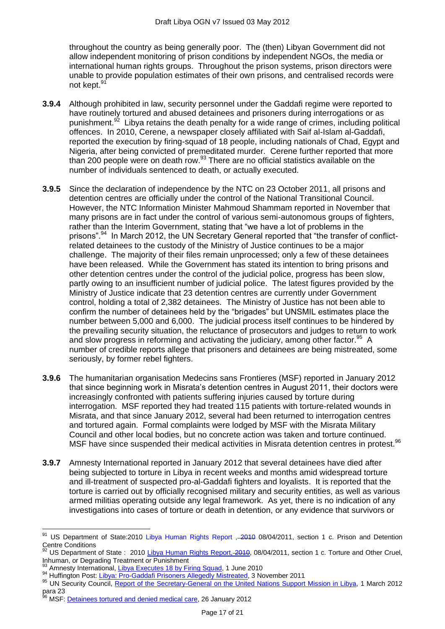throughout the country as being generally poor. The (then) Libyan Government did not allow independent monitoring of prison conditions by independent NGOs, the media or international human rights groups. Throughout the prison systems, prison directors were unable to provide population estimates of their own prisons, and centralised records were not kept.<sup>9</sup>

- **3.9.4** Although prohibited in law, security personnel under the Gaddafi regime were reported to have routinely tortured and abused detainees and prisoners during interrogations or as punishment.<sup>92</sup> Libya retains the death penalty for a wide range of crimes, including political offences. In 2010, Cerene, a newspaper closely affiliated with Saif al-Islam al-Gaddafi, reported the execution by firing-squad of 18 people, including nationals of Chad, Egypt and Nigeria, after being convicted of premeditated murder. Cerene further reported that more than 200 people were on death row.<sup>93</sup> There are no official statistics available on the number of individuals sentenced to death, or actually executed.
- **3.9.5** Since the declaration of independence by the NTC on 23 October 2011, all prisons and detention centres are officially under the control of the National Transitional Council. However, the NTC Information Minister Mahmoud Shammam reported in November that many prisons are in fact under the control of various semi-autonomous groups of fighters, rather than the Interim Government, stating that "we have a lot of problems in the prisons".<sup>94</sup> In March 2012, the UN Secretary General reported that "the transfer of conflictrelated detainees to the custody of the Ministry of Justice continues to be a major challenge. The majority of their files remain unprocessed; only a few of these detainees have been released. While the Government has stated its intention to bring prisons and other detention centres under the control of the judicial police, progress has been slow, partly owing to an insufficient number of judicial police. The latest figures provided by the Ministry of Justice indicate that 23 detention centres are currently under Government control, holding a total of 2,382 detainees. The Ministry of Justice has not been able to confirm the number of detainees held by the "brigades" but UNSMIL estimates place the number between 5,000 and 6,000. The judicial process itself continues to be hindered by the prevailing security situation, the reluctance of prosecutors and judges to return to work and slow progress in reforming and activating the judiciary, among other factor.<sup>95</sup> A number of credible reports allege that prisoners and detainees are being mistreated, some seriously, by former rebel fighters.
- **3.9.6** The humanitarian organisation Medecins sans Frontieres (MSF) reported in January 2012 that since beginning work in Misrata"s detention centres in August 2011, their doctors were increasingly confronted with patients suffering injuries caused by torture during interrogation. MSF reported they had treated 115 patients with torture-related wounds in Misrata, and that since January 2012, several had been returned to interrogation centres and tortured again. Formal complaints were lodged by MSF with the Misrata Military Council and other local bodies, but no concrete action was taken and torture continued. MSF have since suspended their medical activities in Misrata detention centres in protest.<sup>96</sup>
- **3.9.7** Amnesty International reported in January 2012 that several detainees have died after being subjected to torture in Libya in recent weeks and months amid widespread torture and ill-treatment of suspected pro-al-Gaddafi fighters and loyalists. It is reported that the torture is carried out by officially recognised military and security entities, as well as various armed militias operating outside any legal framework. As yet, there is no indication of any investigations into cases of torture or death in detention, or any evidence that survivors or

 $\overline{a}$ <sup>91</sup> US Department of State:2010 [Libya Human Rights Report](http://www.state.gov/g/drl/rls/hrrpt/2010/nea/154467.htm) , 2010 08/04/2011, section 1 c. Prison and Detention Centre Conditions

US Department of State : 2010 [Libya Human Rights Report,](http://www.state.gov/g/drl/rls/hrrpt/2010/nea/154467.htm) 2010, 08/04/2011, section 1 c. Torture and Other Cruel, Inhuman, or Degrading Treatment or Punishment

<sup>93</sup> Amnesty International, [Libya Executes 18 by Firing Squad,](http://www.amnesty.org/en/for-media/press-releases/libya-executes-18-firing-squad-2010-06-01) 1 June 2010

<sup>94</sup> Huffington Post: [Libya: Pro-Gaddafi Prisoners Allegedly Mistreated,](http://www.huffingtonpost.com/2011/11/03/libya-pro-gaddafi-prisoners_n_1074497.html) 3 November 2011

<sup>95</sup> UN Security Council, [Report of the Secretary-General on the United Nations Support Mission in Libya,](http://www.ecoi.net/file_upload/1930_1332413460_n1224473.pdf) 1 March 2012 para 23

<sup>&</sup>lt;sup>96</sup> MSF: <u>Detainees tortured and denied medical care</u>, 26 January 2012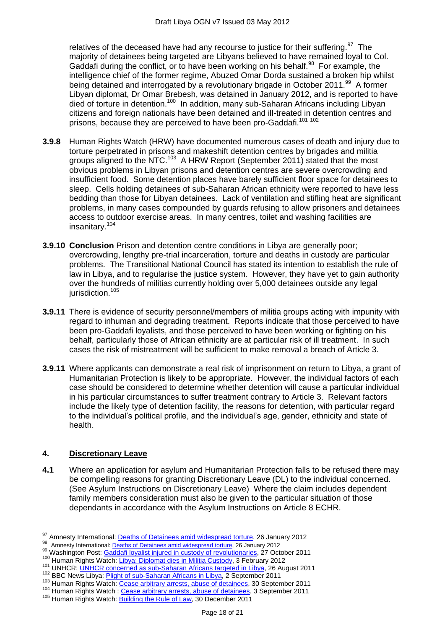relatives of the deceased have had any recourse to justice for their suffering.  $97$  The majority of detainees being targeted are Libyans believed to have remained loyal to Col. Gaddafi during the conflict, or to have been working on his behalf.<sup>98</sup> For example, the intelligence chief of the former regime, Abuzed Omar Dorda sustained a broken hip whilst being detained and interrogated by a revolutionary brigade in October 2011.<sup>99</sup> A former Libyan diplomat, Dr Omar Brebesh, was detained in January 2012, and is reported to have died of torture in detention.<sup>100</sup> In addition, many sub-Saharan Africans including Libyan citizens and foreign nationals have been detained and ill-treated in detention centres and prisons, because they are perceived to have been pro-Gaddafi.<sup>101 102</sup>

- **3.9.8** Human Rights Watch (HRW) have documented numerous cases of death and injury due to torture perpetrated in prisons and makeshift detention centres by brigades and militia groups aligned to the NTC.<sup>103</sup> A HRW Report (September 2011) stated that the most obvious problems in Libyan prisons and detention centres are severe overcrowding and insufficient food. Some detention places have barely sufficient floor space for detainees to sleep. Cells holding detainees of sub-Saharan African ethnicity were reported to have less bedding than those for Libyan detainees. Lack of ventilation and stifling heat are significant problems, in many cases compounded by guards refusing to allow prisoners and detainees access to outdoor exercise areas. In many centres, toilet and washing facilities are insanitary.<sup>104</sup>
- **3.9.10 Conclusion** Prison and detention centre conditions in Libya are generally poor; overcrowding, lengthy pre-trial incarceration, torture and deaths in custody are particular problems. The Transitional National Council has stated its intention to establish the rule of law in Libya, and to regularise the justice system. However, they have yet to gain authority over the hundreds of militias currently holding over 5,000 detainees outside any legal jurisdiction.<sup>105</sup>
- **3.9.11** There is evidence of security personnel/members of militia groups acting with impunity with regard to inhuman and degrading treatment. Reports indicate that those perceived to have been pro-Gaddafi loyalists, and those perceived to have been working or fighting on his behalf, particularly those of African ethnicity are at particular risk of ill treatment. In such cases the risk of mistreatment will be sufficient to make removal a breach of Article 3.
- **3.9.11** Where applicants can demonstrate a real risk of imprisonment on return to Libya, a grant of Humanitarian Protection is likely to be appropriate. However, the individual factors of each case should be considered to determine whether detention will cause a particular individual in his particular circumstances to suffer treatment contrary to Article 3. Relevant factors include the likely type of detention facility, the reasons for detention, with particular regard to the individual"s political profile, and the individual"s age, gender, ethnicity and state of health.

#### <span id="page-17-0"></span>**4. Discretionary Leave**

**4.1** Where an application for asylum and Humanitarian Protection falls to be refused there may be compelling reasons for granting Discretionary Leave (DL) to the individual concerned. (See Asylum Instructions on Discretionary Leave) Where the claim includes dependent family members consideration must also be given to the particular situation of those dependants in accordance with the Asylum Instructions on Article 8 ECHR.

 $\overline{a}$ <sup>97</sup> Amnesty International: **Deaths of Detainees amid widespread torture**, 26 January 2012

<sup>98</sup> Amnesty International: [Deaths of Detainees amid widespread torture,](http://www.unhcr.org/refworld/country,,,,LBY,,4f22523a2,0.html) 26 January 2012

<sup>99</sup> Washington Post: [Gaddafi loyalist injured in custody of revolutionaries,](http://www.washingtonpost.com/world/middle_east/gaddafi-loyalist-injured-in-custody-of-revolutionaries/2011/10/27/gIQAo7hMNM_story.html) 27 October 2011

<sup>&</sup>lt;sup>100</sup> Human Rights Watch: [Libya: Diplomat dies in Militia Custody,](http://www.hrw.org/news/2012/02/02/libya-diplomat-dies-militia-custody) 3 February 2012

<sup>&</sup>lt;sup>101</sup> UNHCR[: UNHCR concerned as sub-Saharan Africans targeted in Libya,](http://www.unhcr.org/4e57d1cb9.html) 26 August 2011

<sup>&</sup>lt;sup>102</sup> BBC News Libya[: Plight of sub-Saharan Africans in Libya,](http://www.bbc.co.uk/news/world-africa-14758156) 2 September 2011

<sup>103</sup> Human Rights Watch: [Cease arbitrary arrests, abuse of detainees,](http://www.hrw.org/news/2011/09/30/libya-cease-arbitrary-arrests-abuse-detainees) 30 September 2011

<sup>&</sup>lt;sup>104</sup> Human Rights Watch [: Cease arbitrary arrests, abuse of detainees,](http://www.hrw.org/news/2011/09/30/libya-cease-arbitrary-arrests-abuse-detainees) 3 September 2011

<sup>&</sup>lt;sup>105</sup> Human Rights Watch: **Building the Rule of Law, 30 December 2011**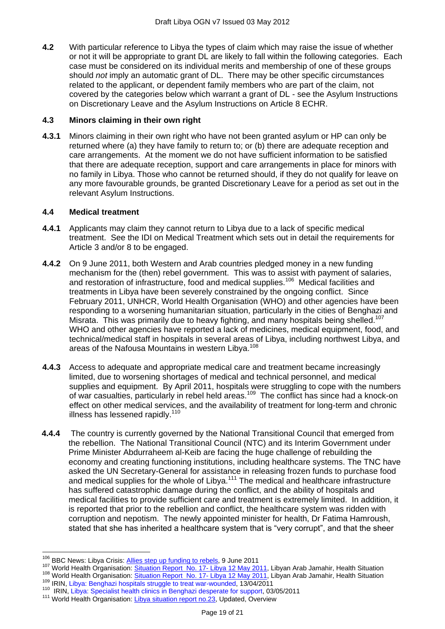**4.2** With particular reference to Libya the types of claim which may raise the issue of whether or not it will be appropriate to grant DL are likely to fall within the following categories. Each case must be considered on its individual merits and membership of one of these groups should *not* imply an automatic grant of DL. There may be other specific circumstances related to the applicant, or dependent family members who are part of the claim, not covered by the categories below which warrant a grant of DL - see the Asylum Instructions on Discretionary Leave and the Asylum Instructions on Article 8 ECHR.

#### <span id="page-18-0"></span>**4.3 Minors claiming in their own right**

**4.3.1** Minors claiming in their own right who have not been granted asylum or HP can only be returned where (a) they have family to return to; or (b) there are adequate reception and care arrangements. At the moment we do not have sufficient information to be satisfied that there are adequate reception, support and care arrangements in place for minors with no family in Libya. Those who cannot be returned should, if they do not qualify for leave on any more favourable grounds, be granted Discretionary Leave for a period as set out in the relevant Asylum Instructions.

#### <span id="page-18-1"></span>**4.4 Medical treatment**

- **4.4.1** Applicants may claim they cannot return to Libya due to a lack of specific medical treatment. See the IDI on Medical Treatment which sets out in detail the requirements for Article 3 and/or 8 to be engaged.
- **4.4.2** On 9 June 2011, both Western and Arab countries pledged money in a new funding mechanism for the (then) rebel government. This was to assist with payment of salaries, and restoration of infrastructure, food and medical supplies.<sup>106</sup> Medical facilities and treatments in Libya have been severely constrained by the ongoing conflict. Since February 2011, UNHCR, World Health Organisation (WHO) and other agencies have been responding to a worsening humanitarian situation, particularly in the cities of Benghazi and Misrata. This was primarily due to heavy fighting, and many hospitals being shelled.<sup>107</sup> WHO and other agencies have reported a lack of medicines, medical equipment, food, and technical/medical staff in hospitals in several areas of Libya, including northwest Libya, and areas of the Nafousa Mountains in western Libya.<sup>108</sup>
- **4.4.3** Access to adequate and appropriate medical care and treatment became increasingly limited, due to worsening shortages of medical and technical personnel, and medical supplies and equipment. By April 2011, hospitals were struggling to cope with the numbers of war casualties, particularly in rebel held areas.<sup>109</sup> The conflict has since had a knock-on effect on other medical services, and the availability of treatment for long-term and chronic illness has lessened rapidly. $110$
- **4.4.4** The country is currently governed by the National Transitional Council that emerged from the rebellion. The National Transitional Council (NTC) and its Interim Government under Prime Minister Abdurraheem al-Keib are facing the huge challenge of rebuilding the economy and creating functioning institutions, including healthcare systems. The TNC have asked the UN Secretary-General for assistance in releasing frozen funds to purchase food and medical supplies for the whole of Libya.<sup>111</sup> The medical and healthcare infrastructure has suffered catastrophic damage during the conflict, and the ability of hospitals and medical facilities to provide sufficient care and treatment is extremely limited. In addition, it is reported that prior to the rebellion and conflict, the healthcare system was ridden with corruption and nepotism. The newly appointed minister for health, Dr Fatima Hamroush, stated that she has inherited a healthcare system that is "very corrupt", and that the sheer

<sup>111</sup> World Health Organisation: [Libya situation report no.23,](http://www.emro.who.int/eha/pdf/SituationReport23_2011.pdf) Updated, Overview

 $\overline{\phantom{a}}$ <sup>106</sup> BBC News: Libya Crisis: [Allies step up funding to rebels,](http://www.bbc.co.uk/news/world-africa-13707685) 9 June 2011

<sup>&</sup>lt;sup>107</sup> World Health Organisation: [Situation Report No. 17-](http://www.who.int/hac/crises/lby/libya_sitrep_12may2011.pdf) Libya 12 May 2011, Libyan Arab Jamahir, Health Situation <sup>108</sup> World Health Organisation: [Situation Report No. 17-](http://www.who.int/hac/crises/lby/libya_sitrep_12may2011.pdf) Libya 12 May 2011, Libyan Arab Jamahir, Health Situation

<sup>109</sup> IRIN, [Libya: Benghazi hospitals struggle to treat war-wounded,](http://www.irinnews.org/Report/92458/LIBYA-Benghazi-hospitals-struggle-to-treat-war-wounded) 13/04/2011

<sup>110</sup> IRIN, [Libya: Specialist health clinics in Benghazi desperate for support,](http://www.irinnews.org/Report/92631/LIBYA-Specialist-health-clinics-in-Benghazi-desperate-for-support) 03/05/2011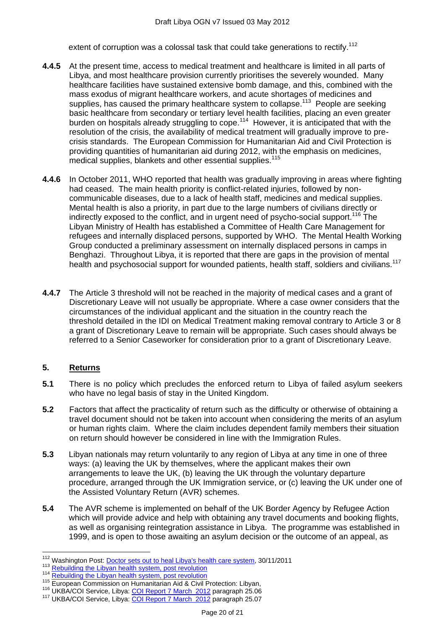extent of corruption was a colossal task that could take generations to rectify.<sup>112</sup>

- **4.4.5** At the present time, access to medical treatment and healthcare is limited in all parts of Libya, and most healthcare provision currently prioritises the severely wounded. Many healthcare facilities have sustained extensive bomb damage, and this, combined with the mass exodus of migrant healthcare workers, and acute shortages of medicines and supplies, has caused the primary healthcare system to collapse.<sup>113</sup> People are seeking basic healthcare from secondary or tertiary level health facilities, placing an even greater burden on hospitals already struggling to cope.<sup>114</sup> However, it is anticipated that with the resolution of the crisis, the availability of medical treatment will gradually improve to precrisis standards. The European Commission for Humanitarian Aid and Civil Protection is providing quantities of humanitarian aid during 2012, with the emphasis on medicines, medical supplies, blankets and other essential supplies.<sup>115</sup>
- **4.4.6** In October 2011, WHO reported that health was gradually improving in areas where fighting had ceased. The main health priority is conflict-related injuries, followed by noncommunicable diseases, due to a lack of health staff, medicines and medical supplies. Mental health is also a priority, in part due to the large numbers of civilians directly or indirectly exposed to the conflict, and in urgent need of psycho-social support.<sup>116</sup> The Libyan Ministry of Health has established a Committee of Health Care Management for refugees and internally displaced persons, supported by WHO. The Mental Health Working Group conducted a preliminary assessment on internally displaced persons in camps in Benghazi. Throughout Libya, it is reported that there are gaps in the provision of mental health and psychosocial support for wounded patients, health staff, soldiers and civilians.<sup>117</sup>
- **4.4.7** The Article 3 threshold will not be reached in the majority of medical cases and a grant of Discretionary Leave will not usually be appropriate. Where a case owner considers that the circumstances of the individual applicant and the situation in the country reach the threshold detailed in the IDI on Medical Treatment making removal contrary to Article 3 or 8 a grant of Discretionary Leave to remain will be appropriate. Such cases should always be referred to a Senior Caseworker for consideration prior to a grant of Discretionary Leave.

### <span id="page-19-0"></span>**5. Returns**

- **5.1** There is no policy which precludes the enforced return to Libya of failed asylum seekers who have no legal basis of stay in the United Kingdom.
- **5.2** Factors that affect the practicality of return such as the difficulty or otherwise of obtaining a travel document should not be taken into account when considering the merits of an asylum or human rights claim. Where the claim includes dependent family members their situation on return should however be considered in line with the Immigration Rules.
- **5.3** Libyan nationals may return voluntarily to any region of Libya at any time in one of three ways: (a) leaving the UK by themselves, where the applicant makes their own arrangements to leave the UK, (b) leaving the UK through the voluntary departure procedure, arranged through the UK Immigration service, or (c) leaving the UK under one of the Assisted Voluntary Return (AVR) schemes.
- **5.4** The AVR scheme is implemented on behalf of the UK Border Agency by Refugee Action which will provide advice and help with obtaining any travel documents and booking flights, as well as organising reintegration assistance in Libya. The programme was established in 1999, and is open to those awaiting an asylum decision or the outcome of an appeal, as

 $\overline{\phantom{a}}$ <sup>112</sup> Washington Post: [Doctor sets out to heal Libya's health care system,](http://www.washingtontimes.com/news/2011/nov/30/doctor-sets-out-to-heal-libyas-health-system) 30/11/2011

<sup>&</sup>lt;sup>113</sup> [Rebuilding the Libyan health system, post revolution](http://www.who.int/features/2012/libya_health_system/en/index.html)

<sup>&</sup>lt;sup>114</sup> [Rebuilding the Libyan health system, post revolution](http://www.who.int/features/2012/libya_health_system/en/index.html)

<sup>115</sup> European Commission on Humanitarian Aid & Civil Protection: Libyan,

<sup>&</sup>lt;sup>116</sup> UKBA/COI Service, Libya: [COI Report 7 March 2012](http://www.bia.homeoffice.gov.uk/sitecontent/documents/policyandlaw/coi/libya/report-03-12.pdf?view=Binary) paragraph 25.06

<sup>117</sup> UKBA/COI Service, Libya: [COI Report 7 March 2012](http://www.bia.homeoffice.gov.uk/sitecontent/documents/policyandlaw/coi/libya/report-03-12.pdf?view=Binary) paragraph 25.07